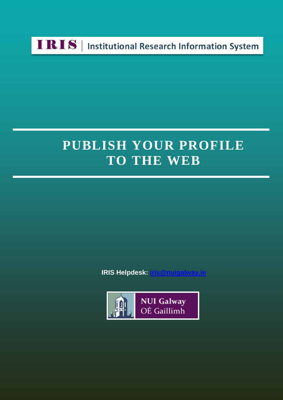

## **PUBLISH YOUR PROFILE TO THE WEB**

**IRIS Helpdesk: [iris@nuigalway.ie](mailto:iris@nuigalway.ie)**

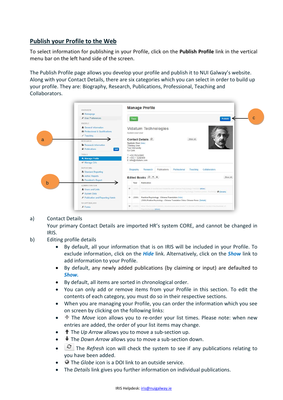## **Publish your Profile to the Web**

To select information for publishing in your Profile, click on the **Publish Profile** link in the vertical menu bar on the left hand side of the screen.

The Publish Profile page allows you develop your profile and publish it to NUI Galway's website. Along with your Contact Details, there are six categories which you can select in order to build up your profile. They are: Biography, Research, Publications, Professional, Teaching and Collaborators.



## a) Contact Details

Your primary Contact Details are imported HR's system CORE, and cannot be changed in IRIS.

- b) Editing profile details
	- By default, all your information that is on IRIS will be included in your Profile. To exclude information, click on the *Hide* link. Alternatively, click on the *Show* link to add information to your Profile.
	- By default, any newly added publications (by claiming or input) are defaulted to *Show.*
	- By default, all items are sorted in chronological order.
	- You can only add or remove items from your Profile in this section. To edit the contents of each category, you must do so in their respective sections.
	- When you are managing your Profile, you can order the information which you see on screen by clicking on the following links:
	- The *Move* icon allows you to re-order your list times. Please note: when new entries are added, the order of your list items may change.
	- The *Up Arrow* allows you to move a sub-section up.
	- The *Down Arrow* allows you to move a sub-section down.
	- The *Refresh* icon will check the system to see if any publications relating to you have been added.
	- The *Globe* icon is a DOI link to an outside service.
	- The *Details* link gives you further information on individual publications.